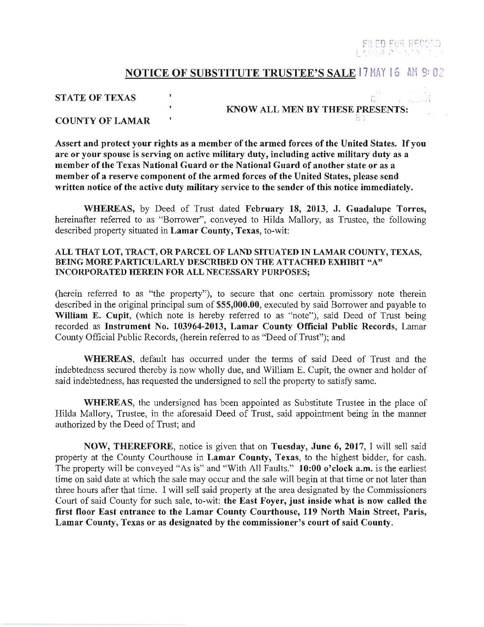# ILED FOR RECO

,·,

### NOTICE OF SUBSTITUTE TRUSTEE'S SALE 17 MAY 16 AM 9:02

#### STATE OF TEXAS AND THE STATE OF TEXAS AND THE STATE OF TEXAS AND THE STATE OF THE STATE OF THE STATE OF THE STATE OF THE STATE OF THE STATE OF THE STATE OF THE STATE OF THE STATE OF THE STATE OF THE STATE OF THE STATE OF T

KNOW ALL MEN BY THESE PRESENTS:

門美

#### COUNTY OF LAMAR

Assert and protect your rights as a member of the armed forces of the United States. If you are or your spouse is serving on active military duty, including active military duty as a member of the Texas National Guard or the National Guard of another state or as a member of a reserve component of the armed forces of the United States, please send written notice of the active duty military service to the sender of this notice immediately.

WHEREAS, by Deed of Trust dated February 18, 2013, J. Guadalupe Torres, hereinafter referred to as "Borrower", conveyed to Hilda Mallory, as Trustee, the following described property situated in Lamar County, Texas, to-wit:

#### ALL THAT LOT, TRACT, OR PARCEL OF LAND SITUATED IN LAMAR COUNTY, TEXAS, BEING MORE PARTICULARLY DESCRIBED ON THE ATTACHED EXHIBIT "A" INCORPORATED HEREIN FOR ALL NECESSARY PURPOSES;

(herein referred to as "the property"), to secure that one certain promissory note therein described in the original principal sum of \$55,000.00, executed by said Borrower and payable to William E. Cupit, (which note is hereby referred to as "note"), said Deed of Trust being recorded as Instrument No. 103964-2013, Lamar County Official Public Records, Lamar County Official Public Records, (herein referred to as "Deed of Trust"); and

WHEREAS, default has occurred under the terms of said Deed of Trust and the indebtedness secured thereby is now wholly due, and William E. Cupit, the owner and holder of said indebtedness, has requested the undersigned to sell the property to satisfy same.

WHEREAS, the undersigned has been appointed as Substitute Trustee in the place of Hilda Mallory, Trustee, in the aforesaid Deed of Trust, said appointment being in the manner authorized by the Deed of Trust; and

NOW, THEREFORE, notice is given that on Tuesday, June 6, 2017, I will sell said property at the County Courthouse in Lamar County, Texas, to the highest bidder, for cash. The property will be conveyed "As is" and "With All Faults." 10:00 o'clock a.m. is the earliest time on said date at which the sale may occur and the sale will begin at that time or not later than three hours after that time. I will sell said property at the area designated by the Commissioners Court of said County for such sale, to-wit: the East Foyer, just inside what is now called the first floor East entrance to the Lamar County Courthouse, 119 North Main Street, Paris, Lamar County, Texas or as designated by the commissioner's court of said County.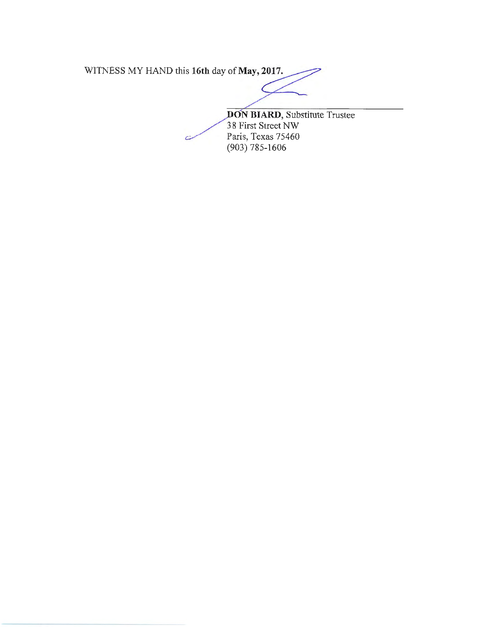WITNESS MY HAND this **16th** day of **May, 2017.** 

Ċ

**BIARD,** Substitute Trustee 8 First Street NW Paris, Texas 75460 (903) 785-1606